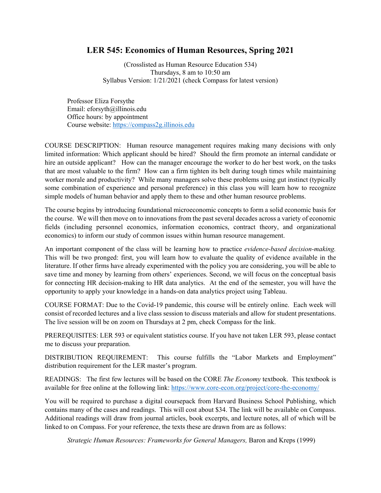# **LER 545: Economics of Human Resources, Spring 2021**

(Crosslisted as Human Resource Education 534) Thursdays, 8 am to 10:50 am Syllabus Version: 1/21/2021 (check Compass for latest version)

Professor Eliza Forsythe Email: eforsyth@illinois.edu Office hours: by appointment Course website: [https://compass2g.illinois.edu](https://compass2g.illinois.edu/)

COURSE DESCRIPTION: Human resource management requires making many decisions with only limited information: Which applicant should be hired? Should the firm promote an internal candidate or hire an outside applicant? How can the manager encourage the worker to do her best work, on the tasks that are most valuable to the firm? How can a firm tighten its belt during tough times while maintaining worker morale and productivity? While many managers solve these problems using gut instinct (typically some combination of experience and personal preference) in this class you will learn how to recognize simple models of human behavior and apply them to these and other human resource problems.

The course begins by introducing foundational microeconomic concepts to form a solid economic basis for the course. We will then move on to innovations from the past several decades across a variety of economic fields (including personnel economics, information economics, contract theory, and organizational economics) to inform our study of common issues within human resource management.

An important component of the class will be learning how to practice *evidence-based decision-making.*  This will be two pronged: first, you will learn how to evaluate the quality of evidence available in the literature. If other firms have already experimented with the policy you are considering, you will be able to save time and money by learning from others' experiences. Second, we will focus on the conceptual basis for connecting HR decision-making to HR data analytics. At the end of the semester, you will have the opportunity to apply your knowledge in a hands-on data analytics project using Tableau.

COURSE FORMAT: Due to the Covid-19 pandemic, this course will be entirely online. Each week will consist of recorded lectures and a live class session to discuss materials and allow for student presentations. The live session will be on zoom on Thursdays at 2 pm, check Compass for the link.

PREREQUISITES: LER 593 or equivalent statistics course. If you have not taken LER 593, please contact me to discuss your preparation.

DISTRIBUTION REQUIREMENT: This course fulfills the "Labor Markets and Employment" distribution requirement for the LER master's program.

READINGS: The first few lectures will be based on the CORE *The Economy* textbook. This textbook is available for free online at the following link:<https://www.core-econ.org/project/core-the-economy/>

You will be required to purchase a digital coursepack from Harvard Business School Publishing, which contains many of the cases and readings. This will cost about \$34. The link will be available on Compass. Additional readings will draw from journal articles, book excerpts, and lecture notes, all of which will be linked to on Compass. For your reference, the texts these are drawn from are as follows:

*Strategic Human Resources: Frameworks for General Managers,* Baron and Kreps (1999)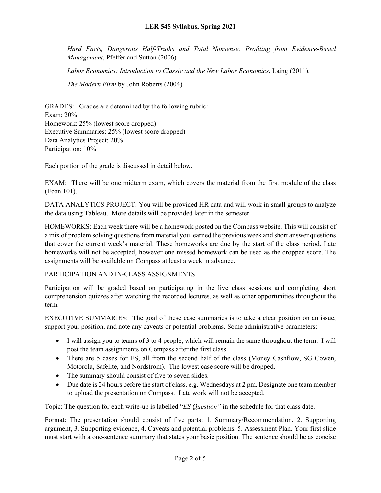*Hard Facts, Dangerous Half-Truths and Total Nonsense: Profiting from Evidence-Based Management*, Pfeffer and Sutton (2006)

*Labor Economics: Introduction to Classic and the New Labor Economics*, Laing (2011).

*The Modern Firm* by John Roberts (2004)

GRADES: Grades are determined by the following rubric: Exam: 20% Homework: 25% (lowest score dropped) Executive Summaries: 25% (lowest score dropped) Data Analytics Project: 20% Participation: 10%

Each portion of the grade is discussed in detail below.

EXAM: There will be one midterm exam, which covers the material from the first module of the class (Econ 101).

DATA ANALYTICS PROJECT: You will be provided HR data and will work in small groups to analyze the data using Tableau. More details will be provided later in the semester.

HOMEWORKS: Each week there will be a homework posted on the Compass website. This will consist of a mix of problem solving questions from material you learned the previous week and short answer questions that cover the current week's material. These homeworks are due by the start of the class period. Late homeworks will not be accepted, however one missed homework can be used as the dropped score. The assignments will be available on Compass at least a week in advance.

### PARTICIPATION AND IN-CLASS ASSIGNMENTS

Participation will be graded based on participating in the live class sessions and completing short comprehension quizzes after watching the recorded lectures, as well as other opportunities throughout the term.

EXECUTIVE SUMMARIES: The goal of these case summaries is to take a clear position on an issue, support your position, and note any caveats or potential problems. Some administrative parameters:

- I will assign you to teams of 3 to 4 people, which will remain the same throughout the term. I will post the team assignments on Compass after the first class.
- There are 5 cases for ES, all from the second half of the class (Money Cashflow, SG Cowen, Motorola, Safelite, and Nordstrom). The lowest case score will be dropped.
- The summary should consist of five to seven slides.
- Due date is 24 hours before the start of class, e.g. Wednesdays at 2 pm. Designate one team member to upload the presentation on Compass. Late work will not be accepted.

Topic: The question for each write-up is labelled "*ES Question"* in the schedule for that class date.

Format: The presentation should consist of five parts: 1. Summary/Recommendation, 2. Supporting argument, 3. Supporting evidence, 4. Caveats and potential problems, 5. Assessment Plan. Your first slide must start with a one-sentence summary that states your basic position. The sentence should be as concise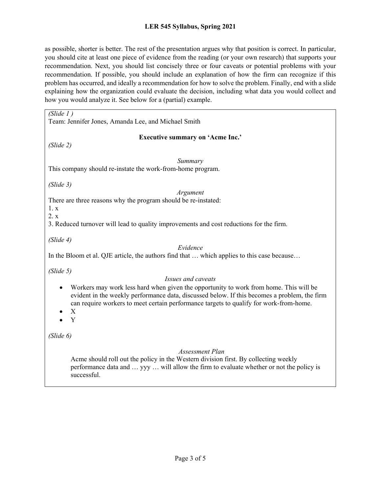### **LER 545 Syllabus, Spring 2021**

as possible, shorter is better. The rest of the presentation argues why that position is correct. In particular, you should cite at least one piece of evidence from the reading (or your own research) that supports your recommendation. Next, you should list concisely three or four caveats or potential problems with your recommendation. If possible, you should include an explanation of how the firm can recognize if this problem has occurred, and ideally a recommendation for how to solve the problem. Finally, end with a slide explaining how the organization could evaluate the decision, including what data you would collect and how you would analyze it. See below for a (partial) example.

*(Slide 1 )*

Team: Jennifer Jones, Amanda Lee, and Michael Smith

#### **Executive summary on 'Acme Inc.'**

*(Slide 2)*

*Summary*

This company should re-instate the work-from-home program.

*(Slide 3)*

#### *Argument*

There are three reasons why the program should be re-instated:

1. x 2. x

3. Reduced turnover will lead to quality improvements and cost reductions for the firm.

*(Slide 4)*

### *Evidence*

In the Bloom et al. QJE article, the authors find that … which applies to this case because…

*(Slide 5)*

### *Issues and caveats*

- Workers may work less hard when given the opportunity to work from home. This will be evident in the weekly performance data, discussed below. If this becomes a problem, the firm can require workers to meet certain performance targets to qualify for work-from-home.
- X
- Y

*(Slide 6)*

### *Assessment Plan*

Acme should roll out the policy in the Western division first. By collecting weekly performance data and … yyy … will allow the firm to evaluate whether or not the policy is successful.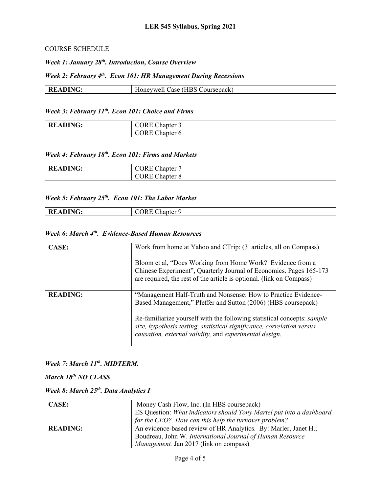#### COURSE SCHEDULE

*Week 1: January 28th. Introduction, Course Overview*

### *Week 2: February 4th. Econ 101: HR Management During Recessions*

| ING<br>-R1 | $\sim$ :<br>$\sqrt{\text{HBS}}$<br>Coursepack<br>ase<br>wen |
|------------|-------------------------------------------------------------|

### *Week 3: February 11th. Econ 101: Choice and Firms*

| <b>READING:</b> | <b>CORE</b><br>$\sim$ 1<br>Chapter 3 |
|-----------------|--------------------------------------|
|                 | <b>CORE Ch</b><br>Chapter 6          |

### *Week 4: February 18th. Econ 101: Firms and Markets*

| <b>READING:</b> | <b>CORE Chapter</b>   |
|-----------------|-----------------------|
|                 | <b>CORE</b> Chapter 8 |

# *Week 5: February 25th. Econ 101: The Labor Market*

| READING: | `ORE<br>$\mathcal{L}$ hapter 9 |
|----------|--------------------------------|

### *Week 6: March 4th. Evidence-Based Human Resources*

| CASE:           | Work from home at Yahoo and CTrip: (3 articles, all on Compass)<br>Bloom et al, "Does Working from Home Work? Evidence from a<br>Chinese Experiment", Quarterly Journal of Economics. Pages 165-173<br>are required, the rest of the article is optional. (link on Compass)                                                                    |
|-----------------|------------------------------------------------------------------------------------------------------------------------------------------------------------------------------------------------------------------------------------------------------------------------------------------------------------------------------------------------|
| <b>READING:</b> | "Management Half-Truth and Nonsense: How to Practice Evidence-<br>Based Management," Pfeffer and Sutton (2006) (HBS coursepack)<br>Re-familiarize yourself with the following statistical concepts: sample<br>size, hypothesis testing, statistical significance, correlation versus<br>causation, external validity, and experimental design. |

# *Week 7: March 11th. MIDTERM.*

*March 18th NO CLASS*

## *Week 8: March 25th. Data Analytics I*

| <b>CASE:</b>    | Money Cash Flow, Inc. (In HBS coursepack)                            |
|-----------------|----------------------------------------------------------------------|
|                 | ES Question: What indicators should Tony Martel put into a dashboard |
|                 | for the CEO? How can this help the turnover problem?                 |
| <b>READING:</b> | An evidence-based review of HR Analytics. By: Marler, Janet H.;      |
|                 | Boudreau, John W. International Journal of Human Resource            |
|                 | <i>Management.</i> Jan 2017 (link on compass)                        |